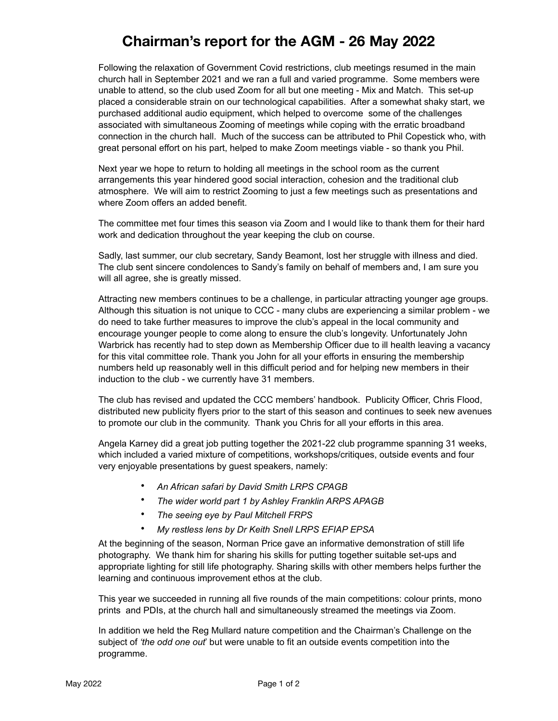## **Chairman's report for the AGM - 26 May 2022**

Following the relaxation of Government Covid restrictions, club meetings resumed in the main church hall in September 2021 and we ran a full and varied programme. Some members were unable to attend, so the club used Zoom for all but one meeting - Mix and Match. This set-up placed a considerable strain on our technological capabilities. After a somewhat shaky start, we purchased additional audio equipment, which helped to overcome some of the challenges associated with simultaneous Zooming of meetings while coping with the erratic broadband connection in the church hall. Much of the success can be attributed to Phil Copestick who, with great personal effort on his part, helped to make Zoom meetings viable - so thank you Phil.

Next year we hope to return to holding all meetings in the school room as the current arrangements this year hindered good social interaction, cohesion and the traditional club atmosphere. We will aim to restrict Zooming to just a few meetings such as presentations and where Zoom offers an added benefit.

The committee met four times this season via Zoom and I would like to thank them for their hard work and dedication throughout the year keeping the club on course.

Sadly, last summer, our club secretary, Sandy Beamont, lost her struggle with illness and died. The club sent sincere condolences to Sandy's family on behalf of members and, I am sure you will all agree, she is greatly missed.

Attracting new members continues to be a challenge, in particular attracting younger age groups. Although this situation is not unique to CCC - many clubs are experiencing a similar problem - we do need to take further measures to improve the club's appeal in the local community and encourage younger people to come along to ensure the club's longevity. Unfortunately John Warbrick has recently had to step down as Membership Officer due to ill health leaving a vacancy for this vital committee role. Thank you John for all your efforts in ensuring the membership numbers held up reasonably well in this difficult period and for helping new members in their induction to the club - we currently have 31 members.

The club has revised and updated the CCC members' handbook. Publicity Officer, Chris Flood, distributed new publicity flyers prior to the start of this season and continues to seek new avenues to promote our club in the community. Thank you Chris for all your efforts in this area.

Angela Karney did a great job putting together the 2021-22 club programme spanning 31 weeks, which included a varied mixture of competitions, workshops/critiques, outside events and four very enjoyable presentations by guest speakers, namely:

- *An African safari by David Smith LRPS CPAGB*
- *The wider world part 1 by Ashley Franklin ARPS APAGB*
- *The seeing eye by Paul Mitchell FRPS*
- *My restless lens by Dr Keith Snell LRPS EFIAP EPSA*

At the beginning of the season, Norman Price gave an informative demonstration of still life photography. We thank him for sharing his skills for putting together suitable set-ups and appropriate lighting for still life photography. Sharing skills with other members helps further the learning and continuous improvement ethos at the club.

This year we succeeded in running all five rounds of the main competitions: colour prints, mono prints and PDIs, at the church hall and simultaneously streamed the meetings via Zoom.

In addition we held the Reg Mullard nature competition and the Chairman's Challenge on the subject of *'the odd one out*' but were unable to fit an outside events competition into the programme.